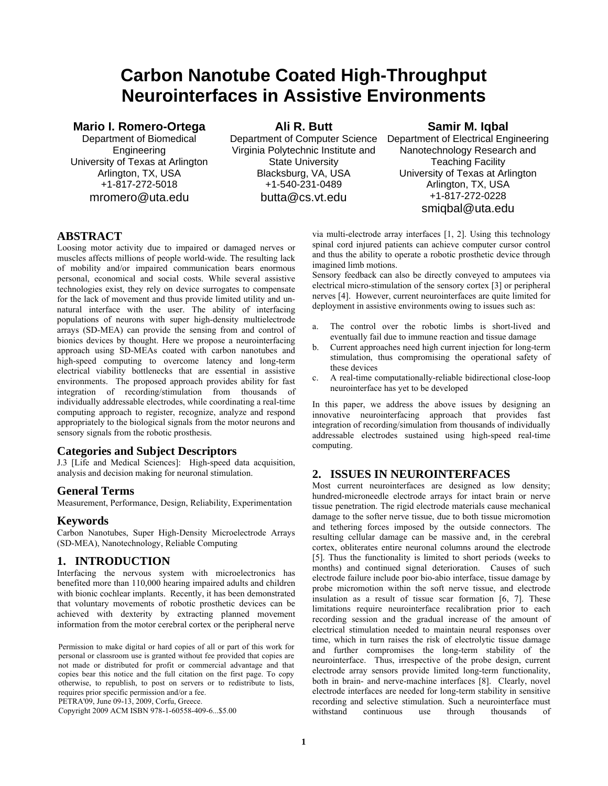# **Carbon Nanotube Coated High-Throughput Neurointerfaces in Assistive Environments**

### **Mario I. Romero-Ortega**

Department of Biomedical Engineering University of Texas at Arlington Arlington, TX, USA +1-817-272-5018 mromero@uta.edu

**Ali R. Butt** 

Department of Computer Science Virginia Polytechnic Institute and State University Blacksburg, VA, USA +1-540-231-0489 butta@cs.vt.edu

# **Samir M. Iqbal**

Department of Electrical Engineering Nanotechnology Research and Teaching Facility University of Texas at Arlington Arlington, TX, USA +1-817-272-0228 smiqbal@uta.edu

# **ABSTRACT**

Loosing motor activity due to impaired or damaged nerves or muscles affects millions of people world-wide. The resulting lack of mobility and/or impaired communication bears enormous personal, economical and social costs. While several assistive technologies exist, they rely on device surrogates to compensate for the lack of movement and thus provide limited utility and unnatural interface with the user. The ability of interfacing populations of neurons with super high-density multielectrode arrays (SD-MEA) can provide the sensing from and control of bionics devices by thought. Here we propose a neurointerfacing approach using SD-MEAs coated with carbon nanotubes and high-speed computing to overcome latency and long-term electrical viability bottlenecks that are essential in assistive environments. The proposed approach provides ability for fast integration of recording/stimulation from thousands of individually addressable electrodes, while coordinating a real-time computing approach to register, recognize, analyze and respond appropriately to the biological signals from the motor neurons and sensory signals from the robotic prosthesis.

#### **Categories and Subject Descriptors**

J.3 [Life and Medical Sciences]: High-speed data acquisition, analysis and decision making for neuronal stimulation.

# **General Terms**

Measurement, Performance, Design, Reliability, Experimentation

#### **Keywords**

Carbon Nanotubes, Super High-Density Microelectrode Arrays (SD-MEA), Nanotechnology, Reliable Computing

#### **1. INTRODUCTION**

Interfacing the nervous system with microelectronics has benefited more than 110,000 hearing impaired adults and children with bionic cochlear implants. Recently, it has been demonstrated that voluntary movements of robotic prosthetic devices can be achieved with dexterity by extracting planned movement information from the motor cerebral cortex or the peripheral nerve

Permission to make digital or hard copies of all or part of this work for personal or classroom use is granted without fee provided that copies are not made or distributed for profit or commercial advantage and that copies bear this notice and the full citation on the first page. To copy otherwise, to republish, to post on servers or to redistribute to lists, requires prior specific permission and/or a fee.

PETRA'09, June 09-13, 2009, Corfu, Greece.

Copyright 2009 ACM ISBN 978-1-60558-409-6...\$5.00

via multi-electrode array interfaces [1, 2]. Using this technology spinal cord injured patients can achieve computer cursor control and thus the ability to operate a robotic prosthetic device through imagined limb motions.

Sensory feedback can also be directly conveyed to amputees via electrical micro-stimulation of the sensory cortex [3] or peripheral nerves [4]. However, current neurointerfaces are quite limited for deployment in assistive environments owing to issues such as:

- a. The control over the robotic limbs is short-lived and eventually fail due to immune reaction and tissue damage
- b. Current approaches need high current injection for long-term stimulation, thus compromising the operational safety of these devices
- c. A real-time computationally-reliable bidirectional close-loop neurointerface has yet to be developed

In this paper, we address the above issues by designing an innovative neurointerfacing approach that provides fast integration of recording/simulation from thousands of individually addressable electrodes sustained using high-speed real-time computing.

# **2. ISSUES IN NEUROINTERFACES**

Most current neurointerfaces are designed as low density; hundred-microneedle electrode arrays for intact brain or nerve tissue penetration. The rigid electrode materials cause mechanical damage to the softer nerve tissue, due to both tissue micromotion and tethering forces imposed by the outside connectors. The resulting cellular damage can be massive and, in the cerebral cortex, obliterates entire neuronal columns around the electrode [5]. Thus the functionality is limited to short periods (weeks to months) and continued signal deterioration. Causes of such electrode failure include poor bio-abio interface, tissue damage by probe micromotion within the soft nerve tissue, and electrode insulation as a result of tissue scar formation [6, 7]. These limitations require neurointerface recalibration prior to each recording session and the gradual increase of the amount of electrical stimulation needed to maintain neural responses over time, which in turn raises the risk of electrolytic tissue damage and further compromises the long-term stability of the neurointerface. Thus, irrespective of the probe design, current electrode array sensors provide limited long-term functionality, both in brain- and nerve-machine interfaces [8]. Clearly, novel electrode interfaces are needed for long-term stability in sensitive recording and selective stimulation. Such a neurointerface must withstand continuous use through thousands of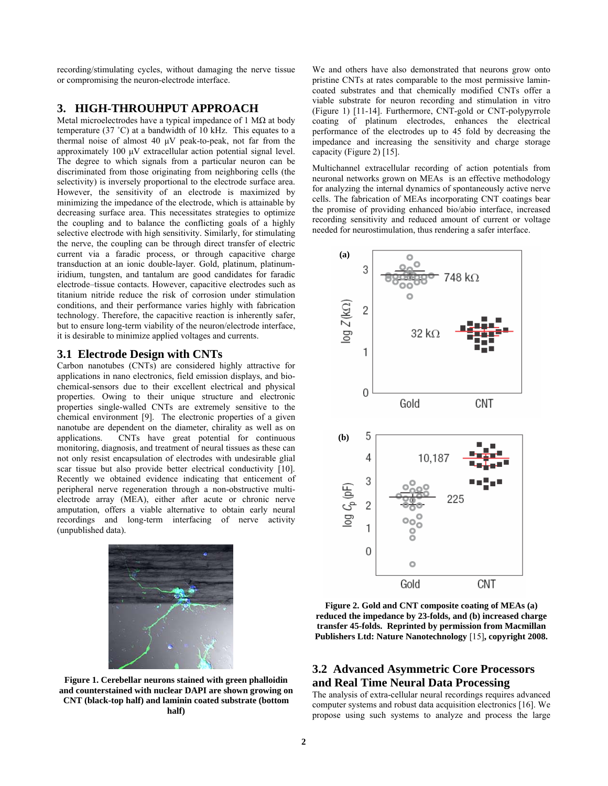recording/stimulating cycles, without damaging the nerve tissue or compromising the neuron-electrode interface.

# **3. HIGH-THROUHPUT APPROACH**

Metal microelectrodes have a typical impedance of 1  $M\Omega$  at body temperature (37  $^{\circ}$ C) at a bandwidth of 10 kHz. This equates to a thermal noise of almost 40 µV peak-to-peak, not far from the approximately 100 µV extracellular action potential signal level. The degree to which signals from a particular neuron can be discriminated from those originating from neighboring cells (the selectivity) is inversely proportional to the electrode surface area. However, the sensitivity of an electrode is maximized by minimizing the impedance of the electrode, which is attainable by decreasing surface area. This necessitates strategies to optimize the coupling and to balance the conflicting goals of a highly selective electrode with high sensitivity. Similarly, for stimulating the nerve, the coupling can be through direct transfer of electric current via a faradic process, or through capacitive charge transduction at an ionic double-layer. Gold, platinum, platinumiridium, tungsten, and tantalum are good candidates for faradic electrode–tissue contacts. However, capacitive electrodes such as titanium nitride reduce the risk of corrosion under stimulation conditions, and their performance varies highly with fabrication technology. Therefore, the capacitive reaction is inherently safer, but to ensure long-term viability of the neuron/electrode interface, it is desirable to minimize applied voltages and currents.

#### **3.1 Electrode Design with CNTs**

Carbon nanotubes (CNTs) are considered highly attractive for applications in nano electronics, field emission displays, and biochemical-sensors due to their excellent electrical and physical properties. Owing to their unique structure and electronic properties single-walled CNTs are extremely sensitive to the chemical environment [9]. The electronic properties of a given nanotube are dependent on the diameter, chirality as well as on applications. CNTs have great potential for continuous monitoring, diagnosis, and treatment of neural tissues as these can not only resist encapsulation of electrodes with undesirable glial scar tissue but also provide better electrical conductivity [10]. Recently we obtained evidence indicating that enticement of peripheral nerve regeneration through a non-obstructive multielectrode array (MEA), either after acute or chronic nerve amputation, offers a viable alternative to obtain early neural recordings and long-term interfacing of nerve activity (unpublished data).



**Figure 1. Cerebellar neurons stained with green phalloidin and counterstained with nuclear DAPI are shown growing on CNT (black-top half) and laminin coated substrate (bottom half)**

We and others have also demonstrated that neurons grow onto pristine CNTs at rates comparable to the most permissive lamincoated substrates and that chemically modified CNTs offer a viable substrate for neuron recording and stimulation in vitro (Figure 1) [11-14]. Furthermore, CNT-gold or CNT-polypyrrole coating of platinum electrodes, enhances the electrical performance of the electrodes up to 45 fold by decreasing the impedance and increasing the sensitivity and charge storage capacity (Figure 2) [15].

Multichannel extracellular recording of action potentials from neuronal networks grown on MEAs is an effective methodology for analyzing the internal dynamics of spontaneously active nerve cells. The fabrication of MEAs incorporating CNT coatings bear the promise of providing enhanced bio/abio interface, increased recording sensitivity and reduced amount of current or voltage needed for neurostimulation, thus rendering a safer interface.



**Figure 2. Gold and CNT composite coating of MEAs (a) reduced the impedance by 23-folds, and (b) increased charge transfer 45-folds. Reprinted by permission from Macmillan Publishers Ltd: Nature Nanotechnology** [15]**, copyright 2008.** 

## **3.2 Advanced Asymmetric Core Processors and Real Time Neural Data Processing**

The analysis of extra-cellular neural recordings requires advanced computer systems and robust data acquisition electronics [16]. We propose using such systems to analyze and process the large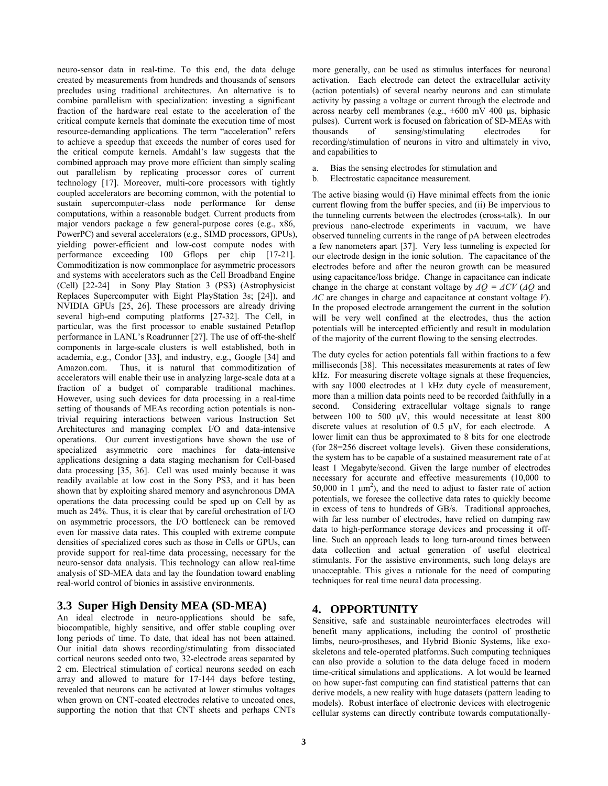neuro-sensor data in real-time. To this end, the data deluge created by measurements from hundreds and thousands of sensors precludes using traditional architectures. An alternative is to combine parallelism with specialization: investing a significant fraction of the hardware real estate to the acceleration of the critical compute kernels that dominate the execution time of most resource-demanding applications. The term "acceleration" refers to achieve a speedup that exceeds the number of cores used for the critical compute kernels. Amdahl's law suggests that the combined approach may prove more efficient than simply scaling out parallelism by replicating processor cores of current technology [17]. Moreover, multi-core processors with tightly coupled accelerators are becoming common, with the potential to sustain supercomputer-class node performance for dense computations, within a reasonable budget. Current products from major vendors package a few general-purpose cores (e.g., x86, PowerPC) and several accelerators (e.g., SIMD processors, GPUs), yielding power-efficient and low-cost compute nodes with performance exceeding 100 Gflops per chip [17-21]. Commoditization is now commonplace for asymmetric processors and systems with accelerators such as the Cell Broadband Engine (Cell) [22-24] in Sony Play Station 3 (PS3) (Astrophysicist Replaces Supercomputer with Eight PlayStation 3s; [24]), and NVIDIA GPUs [25, 26]. These processors are already driving several high-end computing platforms [27-32]. The Cell, in particular, was the first processor to enable sustained Petaflop performance in LANL's Roadrunner [27]. The use of off-the-shelf components in large-scale clusters is well established, both in academia, e.g., Condor [33], and industry, e.g., Google [34] and Thus, it is natural that commoditization of accelerators will enable their use in analyzing large-scale data at a fraction of a budget of comparable traditional machines. However, using such devices for data processing in a real-time setting of thousands of MEAs recording action potentials is nontrivial requiring interactions between various Instruction Set Architectures and managing complex I/O and data-intensive operations. Our current investigations have shown the use of specialized asymmetric core machines for data-intensive applications designing a data staging mechanism for Cell-based data processing [35, 36]. Cell was used mainly because it was readily available at low cost in the Sony PS3, and it has been shown that by exploiting shared memory and asynchronous DMA operations the data processing could be sped up on Cell by as much as 24%. Thus, it is clear that by careful orchestration of I/O on asymmetric processors, the I/O bottleneck can be removed even for massive data rates. This coupled with extreme compute densities of specialized cores such as those in Cells or GPUs, can provide support for real-time data processing, necessary for the neuro-sensor data analysis. This technology can allow real-time analysis of SD-MEA data and lay the foundation toward enabling real-world control of bionics in assistive environments.

# **3.3 Super High Density MEA (SD-MEA)**

An ideal electrode in neuro-applications should be safe, biocompatible, highly sensitive, and offer stable coupling over long periods of time. To date, that ideal has not been attained. Our initial data shows recording/stimulating from dissociated cortical neurons seeded onto two, 32-electrode areas separated by 2 cm. Electrical stimulation of cortical neurons seeded on each array and allowed to mature for 17-144 days before testing, revealed that neurons can be activated at lower stimulus voltages when grown on CNT-coated electrodes relative to uncoated ones, supporting the notion that that CNT sheets and perhaps CNTs

more generally, can be used as stimulus interfaces for neuronal activation. Each electrode can detect the extracellular activity (action potentials) of several nearby neurons and can stimulate activity by passing a voltage or current through the electrode and across nearby cell membranes (e.g.,  $\pm 600$  mV 400 µs, biphasic pulses). Current work is focused on fabrication of SD-MEAs with thousands of sensing/stimulating electrodes for recording/stimulation of neurons in vitro and ultimately in vivo, and capabilities to

- a. Bias the sensing electrodes for stimulation and
- b. Electrostatic capacitance measurement.

The active biasing would (i) Have minimal effects from the ionic current flowing from the buffer species, and (ii) Be impervious to the tunneling currents between the electrodes (cross-talk). In our previous nano-electrode experiments in vacuum, we have observed tunneling currents in the range of pA between electrodes a few nanometers apart [37]. Very less tunneling is expected for our electrode design in the ionic solution. The capacitance of the electrodes before and after the neuron growth can be measured using capacitance/loss bridge. Change in capacitance can indicate change in the charge at constant voltage by  $\Delta Q = \Delta CV (\Delta Q)$  and *∆C* are changes in charge and capacitance at constant voltage *V*). In the proposed electrode arrangement the current in the solution will be very well confined at the electrodes, thus the action potentials will be intercepted efficiently and result in modulation of the majority of the current flowing to the sensing electrodes.

The duty cycles for action potentials fall within fractions to a few milliseconds [38]. This necessitates measurements at rates of few kHz. For measuring discrete voltage signals at these frequencies, with say 1000 electrodes at 1 kHz duty cycle of measurement. more than a million data points need to be recorded faithfully in a second. Considering extracellular voltage signals to range between 100 to 500  $\mu$ V, this would necessitate at least 800 discrete values at resolution of  $0.5 \mu V$ , for each electrode. A lower limit can thus be approximated to 8 bits for one electrode (for 28=256 discreet voltage levels). Given these considerations, the system has to be capable of a sustained measurement rate of at least 1 Megabyte/second. Given the large number of electrodes necessary for accurate and effective measurements (10,000 to 50,000 in 1  $\mu$ m<sup>2</sup>), and the need to adjust to faster rate of action potentials, we foresee the collective data rates to quickly become in excess of tens to hundreds of GB/s. Traditional approaches, with far less number of electrodes, have relied on dumping raw data to high-performance storage devices and processing it offline. Such an approach leads to long turn-around times between data collection and actual generation of useful electrical stimulants. For the assistive environments, such long delays are unacceptable. This gives a rationale for the need of computing techniques for real time neural data processing.

# **4. OPPORTUNITY**

Sensitive, safe and sustainable neurointerfaces electrodes will benefit many applications, including the control of prosthetic limbs, neuro-prostheses, and Hybrid Bionic Systems, like exoskeletons and tele-operated platforms. Such computing techniques can also provide a solution to the data deluge faced in modern time-critical simulations and applications. A lot would be learned on how super-fast computing can find statistical patterns that can derive models, a new reality with huge datasets (pattern leading to models). Robust interface of electronic devices with electrogenic cellular systems can directly contribute towards computationally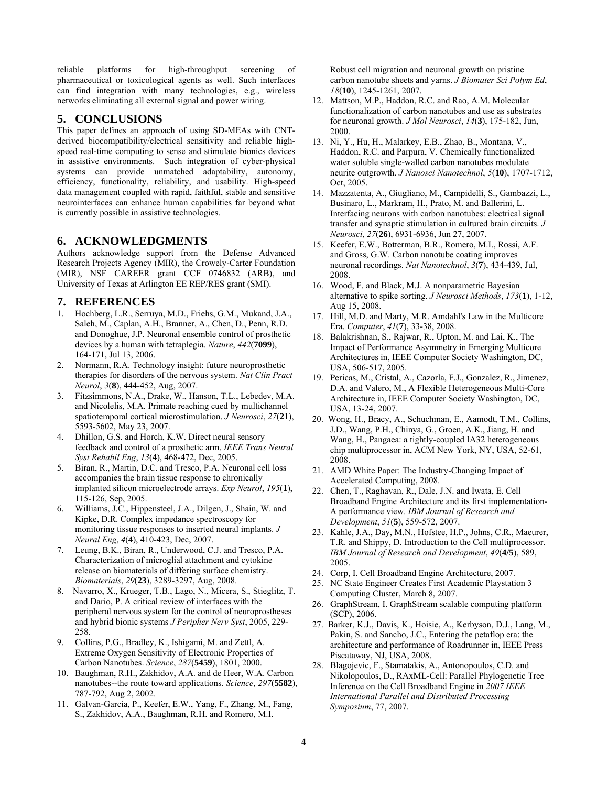reliable platforms for high-throughput screening of pharmaceutical or toxicological agents as well. Such interfaces can find integration with many technologies, e.g., wireless networks eliminating all external signal and power wiring.

#### **5. CONCLUSIONS**

This paper defines an approach of using SD-MEAs with CNTderived biocompatibility/electrical sensitivity and reliable highspeed real-time computing to sense and stimulate bionics devices in assistive environments. Such integration of cyber-physical systems can provide unmatched adaptability, autonomy, efficiency, functionality, reliability, and usability. High-speed data management coupled with rapid, faithful, stable and sensitive neurointerfaces can enhance human capabilities far beyond what is currently possible in assistive technologies.

### **6. ACKNOWLEDGMENTS**

Authors acknowledge support from the Defense Advanced Research Projects Agency (MIR), the Crowely-Carter Foundation (MIR), NSF CAREER grant CCF 0746832 (ARB), and University of Texas at Arlington EE REP/RES grant (SMI).

#### **7. REFERENCES**

- 1. Hochberg, L.R., Serruya, M.D., Friehs, G.M., Mukand, J.A., Saleh, M., Caplan, A.H., Branner, A., Chen, D., Penn, R.D. and Donoghue, J.P. Neuronal ensemble control of prosthetic devices by a human with tetraplegia. *Nature*, *442*(**7099**), 164-171, Jul 13, 2006.
- 2. Normann, R.A. Technology insight: future neuroprosthetic therapies for disorders of the nervous system. *Nat Clin Pract Neurol*, *3*(**8**), 444-452, Aug, 2007.
- 3. Fitzsimmons, N.A., Drake, W., Hanson, T.L., Lebedev, M.A. and Nicolelis, M.A. Primate reaching cued by multichannel spatiotemporal cortical microstimulation. *J Neurosci*, *27*(**21**), 5593-5602, May 23, 2007.
- 4. Dhillon, G.S. and Horch, K.W. Direct neural sensory feedback and control of a prosthetic arm. *IEEE Trans Neural Syst Rehabil Eng*, *13*(**4**), 468-472, Dec, 2005.
- 5. Biran, R., Martin, D.C. and Tresco, P.A. Neuronal cell loss accompanies the brain tissue response to chronically implanted silicon microelectrode arrays. *Exp Neurol*, *195*(**1**), 115-126, Sep, 2005.
- 6. Williams, J.C., Hippensteel, J.A., Dilgen, J., Shain, W. and Kipke, D.R. Complex impedance spectroscopy for monitoring tissue responses to inserted neural implants. *J Neural Eng*, *4*(**4**), 410-423, Dec, 2007.
- 7. Leung, B.K., Biran, R., Underwood, C.J. and Tresco, P.A. Characterization of microglial attachment and cytokine release on biomaterials of differing surface chemistry. *Biomaterials*, *29*(**23**), 3289-3297, Aug, 2008.
- 8. Navarro, X., Krueger, T.B., Lago, N., Micera, S., Stieglitz, T. and Dario, P. A critical review of interfaces with the peripheral nervous system for the control of neuroprostheses and hybrid bionic systems *J Peripher Nerv Syst*, 2005, 229- 258.
- 9. Collins, P.G., Bradley, K., Ishigami, M. and Zettl, A. Extreme Oxygen Sensitivity of Electronic Properties of Carbon Nanotubes. *Science*, *287*(**5459**), 1801, 2000.
- 10. Baughman, R.H., Zakhidov, A.A. and de Heer, W.A. Carbon nanotubes--the route toward applications. *Science*, *297*(**5582**), 787-792, Aug 2, 2002.
- 11. Galvan-Garcia, P., Keefer, E.W., Yang, F., Zhang, M., Fang, S., Zakhidov, A.A., Baughman, R.H. and Romero, M.I.

Robust cell migration and neuronal growth on pristine carbon nanotube sheets and yarns. *J Biomater Sci Polym Ed*, *18*(**10**), 1245-1261, 2007.

- 12. Mattson, M.P., Haddon, R.C. and Rao, A.M. Molecular functionalization of carbon nanotubes and use as substrates for neuronal growth. *J Mol Neurosci*, *14*(**3**), 175-182, Jun, 2000.
- 13. Ni, Y., Hu, H., Malarkey, E.B., Zhao, B., Montana, V., Haddon, R.C. and Parpura, V. Chemically functionalized water soluble single-walled carbon nanotubes modulate neurite outgrowth. *J Nanosci Nanotechnol*, *5*(**10**), 1707-1712, Oct, 2005.
- 14. Mazzatenta, A., Giugliano, M., Campidelli, S., Gambazzi, L., Businaro, L., Markram, H., Prato, M. and Ballerini, L. Interfacing neurons with carbon nanotubes: electrical signal transfer and synaptic stimulation in cultured brain circuits. *J Neurosci*, *27*(**26**), 6931-6936, Jun 27, 2007.
- 15. Keefer, E.W., Botterman, B.R., Romero, M.I., Rossi, A.F. and Gross, G.W. Carbon nanotube coating improves neuronal recordings. *Nat Nanotechnol*, *3*(**7**), 434-439, Jul, 2008.
- 16. Wood, F. and Black, M.J. A nonparametric Bayesian alternative to spike sorting. *J Neurosci Methods*, *173*(**1**), 1-12, Aug 15, 2008.
- 17. Hill, M.D. and Marty, M.R. Amdahl's Law in the Multicore Era. *Computer*, *41*(**7**), 33-38, 2008.
- 18. Balakrishnan, S., Rajwar, R., Upton, M. and Lai, K., The Impact of Performance Asymmetry in Emerging Multicore Architectures in, IEEE Computer Society Washington, DC, USA, 506-517, 2005.
- 19. Pericas, M., Cristal, A., Cazorla, F.J., Gonzalez, R., Jimenez, D.A. and Valero, M., A Flexible Heterogeneous Multi-Core Architecture in, IEEE Computer Society Washington, DC, USA, 13-24, 2007.
- 20. Wong, H., Bracy, A., Schuchman, E., Aamodt, T.M., Collins, J.D., Wang, P.H., Chinya, G., Groen, A.K., Jiang, H. and Wang, H., Pangaea: a tightly-coupled IA32 heterogeneous chip multiprocessor in, ACM New York, NY, USA, 52-61, 2008.
- 21. AMD White Paper: The Industry-Changing Impact of Accelerated Computing, 2008.
- 22. Chen, T., Raghavan, R., Dale, J.N. and Iwata, E. Cell Broadband Engine Architecture and its first implementation-A performance view. *IBM Journal of Research and Development*, *51*(**5**), 559-572, 2007.
- 23. Kahle, J.A., Day, M.N., Hofstee, H.P., Johns, C.R., Maeurer, T.R. and Shippy, D. Introduction to the Cell multiprocessor. *IBM Journal of Research and Development*, *49*(**4/5**), 589, 2005.
- 24. Corp, I. Cell Broadband Engine Architecture, 2007.
- 25. NC State Engineer Creates First Academic Playstation 3 Computing Cluster, March 8, 2007.
- 26. GraphStream, I. GraphStream scalable computing platform (SCP), 2006.
- 27. Barker, K.J., Davis, K., Hoisie, A., Kerbyson, D.J., Lang, M., Pakin, S. and Sancho, J.C., Entering the petaflop era: the architecture and performance of Roadrunner in, IEEE Press Piscataway, NJ, USA, 2008.
- 28. Blagojevic, F., Stamatakis, A., Antonopoulos, C.D. and Nikolopoulos, D., RAxML-Cell: Parallel Phylogenetic Tree Inference on the Cell Broadband Engine in *2007 IEEE International Parallel and Distributed Processing Symposium*, 77, 2007.